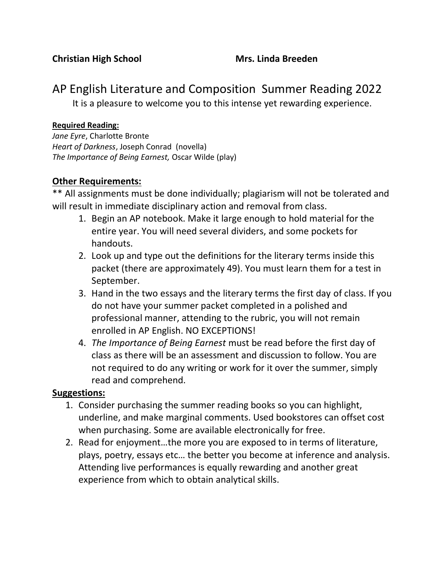## AP English Literature and Composition Summer Reading 2022 It is a pleasure to welcome you to this intense yet rewarding experience.

#### **Required Reading:**

*Jane Eyre*, Charlotte Bronte *Heart of Darkness*, Joseph Conrad (novella) *The Importance of Being Earnest,* Oscar Wilde (play)

#### **Other Requirements:**

\*\* All assignments must be done individually; plagiarism will not be tolerated and will result in immediate disciplinary action and removal from class.

- 1. Begin an AP notebook. Make it large enough to hold material for the entire year. You will need several dividers, and some pockets for handouts.
- 2. Look up and type out the definitions for the literary terms inside this packet (there are approximately 49). You must learn them for a test in September.
- 3. Hand in the two essays and the literary terms the first day of class. If you do not have your summer packet completed in a polished and professional manner, attending to the rubric, you will not remain enrolled in AP English. NO EXCEPTIONS!
- 4. *The Importance of Being Earnest* must be read before the first day of class as there will be an assessment and discussion to follow. You are not required to do any writing or work for it over the summer, simply read and comprehend.

#### **Suggestions:**

- 1. Consider purchasing the summer reading books so you can highlight, underline, and make marginal comments. Used bookstores can offset cost when purchasing. Some are available electronically for free.
- 2. Read for enjoyment…the more you are exposed to in terms of literature, plays, poetry, essays etc… the better you become at inference and analysis. Attending live performances is equally rewarding and another great experience from which to obtain analytical skills.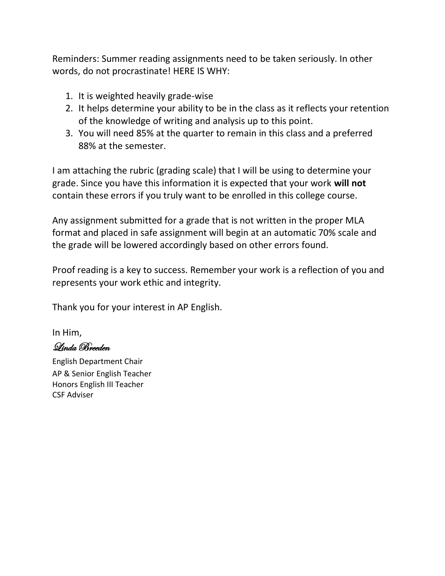Reminders: Summer reading assignments need to be taken seriously. In other words, do not procrastinate! HERE IS WHY:

- 1. It is weighted heavily grade-wise
- 2. It helps determine your ability to be in the class as it reflects your retention of the knowledge of writing and analysis up to this point.
- 3. You will need 85% at the quarter to remain in this class and a preferred 88% at the semester.

I am attaching the rubric (grading scale) that I will be using to determine your grade. Since you have this information it is expected that your work **will not**  contain these errors if you truly want to be enrolled in this college course.

Any assignment submitted for a grade that is not written in the proper MLA format and placed in safe assignment will begin at an automatic 70% scale and the grade will be lowered accordingly based on other errors found.

Proof reading is a key to success. Remember your work is a reflection of you and represents your work ethic and integrity.

Thank you for your interest in AP English.

In Him,

Linda Breeden

English Department Chair AP & Senior English Teacher Honors English III Teacher CSF Adviser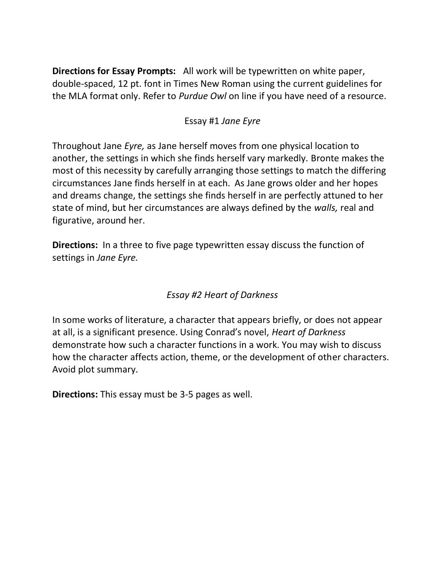**Directions for Essay Prompts:** All work will be typewritten on white paper, double-spaced, 12 pt. font in Times New Roman using the current guidelines for the MLA format only. Refer to *Purdue Owl* on line if you have need of a resource.

#### Essay #1 *Jane Eyre*

Throughout Jane *Eyre,* as Jane herself moves from one physical location to another, the settings in which she finds herself vary markedly. Bronte makes the most of this necessity by carefully arranging those settings to match the differing circumstances Jane finds herself in at each. As Jane grows older and her hopes and dreams change, the settings she finds herself in are perfectly attuned to her state of mind, but her circumstances are always defined by the *walls,* real and figurative, around her.

**Directions:** In a three to five page typewritten essay discuss the function of settings in *Jane Eyre.*

### *Essay #2 Heart of Darkness*

In some works of literature, a character that appears briefly, or does not appear at all, is a significant presence. Using Conrad's novel, *Heart of Darkness* demonstrate how such a character functions in a work. You may wish to discuss how the character affects action, theme, or the development of other characters. Avoid plot summary.

**Directions:** This essay must be 3-5 pages as well.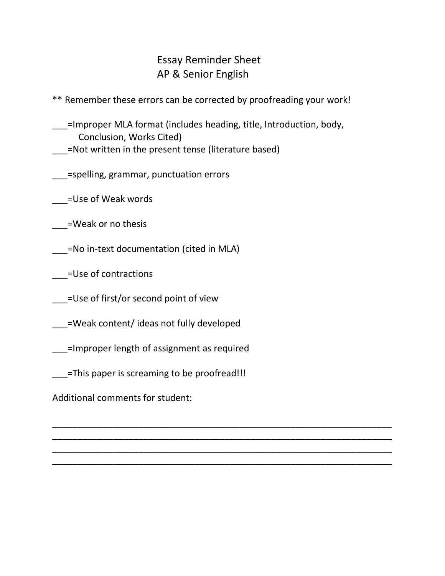## Essay Reminder Sheet AP & Senior English

\*\* Remember these errors can be corrected by proofreading your work!

\_\_\_=Improper MLA format (includes heading, title, Introduction, body, Conclusion, Works Cited) \_\_\_=Not written in the present tense (literature based)

\_\_\_\_\_\_\_\_\_\_\_\_\_\_\_\_\_\_\_\_\_\_\_\_\_\_\_\_\_\_\_\_\_\_\_\_\_\_\_\_\_\_\_\_\_\_\_\_\_\_\_\_\_\_\_\_\_\_\_\_\_\_\_\_\_\_\_ \_\_\_\_\_\_\_\_\_\_\_\_\_\_\_\_\_\_\_\_\_\_\_\_\_\_\_\_\_\_\_\_\_\_\_\_\_\_\_\_\_\_\_\_\_\_\_\_\_\_\_\_\_\_\_\_\_\_\_\_\_\_\_\_\_\_\_ \_\_\_\_\_\_\_\_\_\_\_\_\_\_\_\_\_\_\_\_\_\_\_\_\_\_\_\_\_\_\_\_\_\_\_\_\_\_\_\_\_\_\_\_\_\_\_\_\_\_\_\_\_\_\_\_\_\_\_\_\_\_\_\_\_\_\_ \_\_\_\_\_\_\_\_\_\_\_\_\_\_\_\_\_\_\_\_\_\_\_\_\_\_\_\_\_\_\_\_\_\_\_\_\_\_\_\_\_\_\_\_\_\_\_\_\_\_\_\_\_\_\_\_\_\_\_\_\_\_\_\_\_\_\_

\_\_\_=spelling, grammar, punctuation errors

\_\_\_=Use of Weak words

\_\_\_=Weak or no thesis

\_\_\_=No in-text documentation (cited in MLA)

\_\_\_=Use of contractions

\_\_\_\_=Use of first/or second point of view

\_\_\_=Weak content/ ideas not fully developed

\_\_\_=Improper length of assignment as required

\_\_\_=This paper is screaming to be proofread!!!

Additional comments for student: